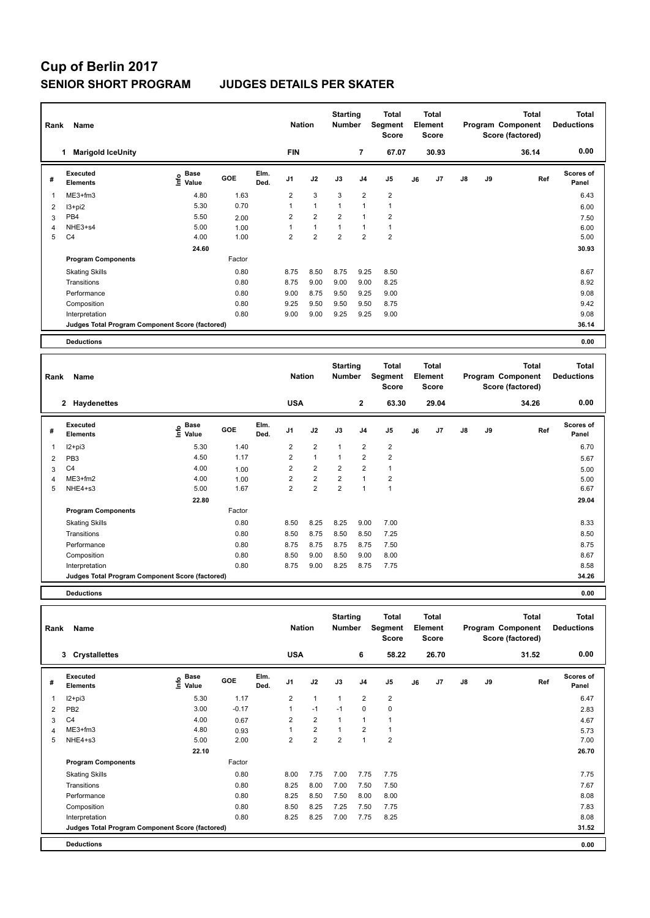# **Cup of Berlin 2017 SENIOR SHORT PROGRAM JUDGES DETAILS PER SKATER**

| Name<br>Rank   |                                                 |                              |        |              |                | <b>Nation</b>  |                | <b>Starting</b><br><b>Number</b> | Total<br>Segment<br><b>Score</b> | <b>Total</b><br>Element<br><b>Score</b> |       |               |    | <b>Total</b><br>Program Component<br>Score (factored) | <b>Total</b><br><b>Deductions</b> |
|----------------|-------------------------------------------------|------------------------------|--------|--------------|----------------|----------------|----------------|----------------------------------|----------------------------------|-----------------------------------------|-------|---------------|----|-------------------------------------------------------|-----------------------------------|
|                | <b>Marigold IceUnity</b><br>1                   |                              |        |              | <b>FIN</b>     |                |                | 7                                | 67.07                            |                                         | 30.93 |               |    | 36.14                                                 | 0.00                              |
| #              | Executed<br><b>Elements</b>                     | <b>Base</b><br>١nf٥<br>Value | GOE    | Elm.<br>Ded. | J <sub>1</sub> | J2             | J3             | J <sub>4</sub>                   | J <sub>5</sub>                   | J6                                      | J7    | $\mathsf{J}8$ | J9 | Ref                                                   | <b>Scores of</b><br>Panel         |
| 1              | $ME3+fm3$                                       | 4.80                         | 1.63   |              | $\overline{2}$ | 3              | 3              | $\overline{2}$                   | $\overline{2}$                   |                                         |       |               |    |                                                       | 6.43                              |
| 2              | I3+pi2                                          | 5.30                         | 0.70   |              | 1              | $\overline{1}$ | $\overline{1}$ | 1                                | 1                                |                                         |       |               |    |                                                       | 6.00                              |
| 3              | PB4                                             | 5.50                         | 2.00   |              | $\overline{2}$ | $\overline{2}$ | $\overline{2}$ | $\overline{1}$                   | $\overline{2}$                   |                                         |       |               |    |                                                       | 7.50                              |
| $\overline{4}$ | NHE3+s4                                         | 5.00                         | 1.00   |              | 1              | $\mathbf{1}$   | $\overline{1}$ | $\overline{1}$                   | 1                                |                                         |       |               |    |                                                       | 6.00                              |
| 5              | C <sub>4</sub>                                  | 4.00                         | 1.00   |              | $\overline{2}$ | $\overline{2}$ | $\overline{2}$ | $\overline{2}$                   | $\overline{2}$                   |                                         |       |               |    |                                                       | 5.00                              |
|                |                                                 | 24.60                        |        |              |                |                |                |                                  |                                  |                                         |       |               |    |                                                       | 30.93                             |
|                | <b>Program Components</b>                       |                              | Factor |              |                |                |                |                                  |                                  |                                         |       |               |    |                                                       |                                   |
|                | <b>Skating Skills</b>                           |                              | 0.80   |              | 8.75           | 8.50           | 8.75           | 9.25                             | 8.50                             |                                         |       |               |    |                                                       | 8.67                              |
|                | Transitions                                     |                              | 0.80   |              | 8.75           | 9.00           | 9.00           | 9.00                             | 8.25                             |                                         |       |               |    |                                                       | 8.92                              |
|                | Performance                                     |                              | 0.80   |              | 9.00           | 8.75           | 9.50           | 9.25                             | 9.00                             |                                         |       |               |    |                                                       | 9.08                              |
|                | Composition                                     |                              | 0.80   |              | 9.25           | 9.50           | 9.50           | 9.50                             | 8.75                             |                                         |       |               |    |                                                       | 9.42                              |
|                | Interpretation                                  |                              | 0.80   |              | 9.00           | 9.00           | 9.25           | 9.25                             | 9.00                             |                                         |       |               |    |                                                       | 9.08                              |
|                | Judges Total Program Component Score (factored) |                              |        |              |                |                |                |                                  |                                  |                                         |       |               |    |                                                       | 36.14                             |
|                | <b>Deductions</b>                               |                              |        |              |                |                |                |                                  |                                  |                                         |       |               |    |                                                       | 0.00                              |

| Rank<br>Name   |                                                 |                                                   |            |              | <b>Nation</b>  |                | <b>Starting</b><br><b>Number</b> |                | Total<br>Segment<br><b>Score</b> | <b>Total</b><br>Element<br>Score |       | Program Component |    | <b>Total</b><br>Score (factored) | <b>Total</b><br><b>Deductions</b> |
|----------------|-------------------------------------------------|---------------------------------------------------|------------|--------------|----------------|----------------|----------------------------------|----------------|----------------------------------|----------------------------------|-------|-------------------|----|----------------------------------|-----------------------------------|
|                | 2 Haydenettes                                   |                                                   |            |              | <b>USA</b>     |                |                                  | $\mathbf{2}$   | 63.30                            |                                  | 29.04 |                   |    | 34.26                            | 0.00                              |
| #              | Executed<br><b>Elements</b>                     | Base<br>$\mathop{\mathsf{Irr}}\nolimits$<br>Value | <b>GOE</b> | Elm.<br>Ded. | J <sub>1</sub> | J2             | J3                               | J <sub>4</sub> | J <sub>5</sub>                   | J6                               | J7    | $\mathsf{J}8$     | J9 | Ref                              | <b>Scores of</b><br>Panel         |
|                | I2+pi3                                          | 5.30                                              | 1.40       |              | $\overline{2}$ | $\overline{2}$ | $\overline{1}$                   | $\overline{2}$ | $\overline{2}$                   |                                  |       |                   |    |                                  | 6.70                              |
| $\overline{2}$ | PB <sub>3</sub>                                 | 4.50                                              | 1.17       |              | $\overline{2}$ | $\mathbf{1}$   |                                  | $\overline{2}$ | $\overline{2}$                   |                                  |       |                   |    |                                  | 5.67                              |
| 3              | C <sub>4</sub>                                  | 4.00                                              | 1.00       |              | $\overline{2}$ | $\overline{2}$ | $\overline{2}$                   | $\overline{2}$ | 1                                |                                  |       |                   |    |                                  | 5.00                              |
| 4              | $ME3+fm2$                                       | 4.00                                              | 1.00       |              | $\overline{2}$ | $\overline{2}$ | $\overline{2}$                   | $\overline{1}$ | $\overline{2}$                   |                                  |       |                   |    |                                  | 5.00                              |
| 5              | NHE4+s3                                         | 5.00                                              | 1.67       |              | $\overline{2}$ | $\overline{2}$ | $\overline{2}$                   |                | $\overline{1}$                   |                                  |       |                   |    |                                  | 6.67                              |
|                |                                                 | 22.80                                             |            |              |                |                |                                  |                |                                  |                                  |       |                   |    |                                  | 29.04                             |
|                | <b>Program Components</b>                       |                                                   | Factor     |              |                |                |                                  |                |                                  |                                  |       |                   |    |                                  |                                   |
|                | <b>Skating Skills</b>                           |                                                   | 0.80       |              | 8.50           | 8.25           | 8.25                             | 9.00           | 7.00                             |                                  |       |                   |    |                                  | 8.33                              |
|                | Transitions                                     |                                                   | 0.80       |              | 8.50           | 8.75           | 8.50                             | 8.50           | 7.25                             |                                  |       |                   |    |                                  | 8.50                              |
|                | Performance                                     |                                                   | 0.80       |              | 8.75           | 8.75           | 8.75                             | 8.75           | 7.50                             |                                  |       |                   |    |                                  | 8.75                              |
|                | Composition                                     |                                                   | 0.80       |              | 8.50           | 9.00           | 8.50                             | 9.00           | 8.00                             |                                  |       |                   |    |                                  | 8.67                              |
|                | Interpretation                                  |                                                   | 0.80       |              | 8.75           | 9.00           | 8.25                             | 8.75           | 7.75                             |                                  |       |                   |    |                                  | 8.58                              |
|                | Judges Total Program Component Score (factored) |                                                   |            |              |                |                |                                  |                |                                  |                                  |       |                   |    |                                  | 34.26                             |
|                |                                                 |                                                   |            |              |                |                |                                  |                |                                  |                                  |       |                   |    |                                  |                                   |

**Deductions 0.00**

| Rank | Name                                            |                              | <b>Nation</b> |              | <b>Starting</b><br><b>Number</b> |                | Total<br>Segment<br><b>Score</b> | <b>Total</b><br>Element<br><b>Score</b> |                |    |       | <b>Total</b><br>Program Component<br>Score (factored) | <b>Total</b><br><b>Deductions</b> |       |                    |
|------|-------------------------------------------------|------------------------------|---------------|--------------|----------------------------------|----------------|----------------------------------|-----------------------------------------|----------------|----|-------|-------------------------------------------------------|-----------------------------------|-------|--------------------|
|      | 3<br><b>Crystallettes</b>                       |                              |               |              | <b>USA</b>                       |                |                                  | 6                                       | 58.22          |    | 26.70 |                                                       |                                   | 31.52 | 0.00               |
| #    | Executed<br><b>Elements</b>                     | <b>Base</b><br>lnfo<br>Value | GOE           | Elm.<br>Ded. | J <sub>1</sub>                   | J2             | J3                               | J <sub>4</sub>                          | J5             | J6 | J7    | $\mathsf{J}8$                                         | J9                                | Ref   | Scores of<br>Panel |
| 1    | $12+pi3$                                        | 5.30                         | 1.17          |              | $\overline{2}$                   | $\mathbf{1}$   | 1                                | $\overline{2}$                          | $\overline{2}$ |    |       |                                                       |                                   |       | 6.47               |
| 2    | PB <sub>2</sub>                                 | 3.00                         | $-0.17$       |              | $\mathbf{1}$                     | $-1$           | $-1$                             | 0                                       | 0              |    |       |                                                       |                                   |       | 2.83               |
| 3    | C <sub>4</sub>                                  | 4.00                         | 0.67          |              | $\overline{2}$                   | $\overline{2}$ | 1                                | $\mathbf{1}$                            | 1              |    |       |                                                       |                                   |       | 4.67               |
| 4    | ME3+fm3                                         | 4.80                         | 0.93          |              |                                  | $\overline{2}$ | $\overline{1}$                   | $\overline{2}$                          | $\mathbf{1}$   |    |       |                                                       |                                   |       | 5.73               |
| 5    | NHE4+s3                                         | 5.00                         | 2.00          |              | $\overline{2}$                   | $\overline{2}$ | $\overline{2}$                   | $\overline{1}$                          | $\overline{2}$ |    |       |                                                       |                                   |       | 7.00               |
|      |                                                 | 22.10                        |               |              |                                  |                |                                  |                                         |                |    |       |                                                       |                                   |       | 26.70              |
|      | <b>Program Components</b>                       |                              | Factor        |              |                                  |                |                                  |                                         |                |    |       |                                                       |                                   |       |                    |
|      | <b>Skating Skills</b>                           |                              | 0.80          |              | 8.00                             | 7.75           | 7.00                             | 7.75                                    | 7.75           |    |       |                                                       |                                   |       | 7.75               |
|      | Transitions                                     |                              | 0.80          |              | 8.25                             | 8.00           | 7.00                             | 7.50                                    | 7.50           |    |       |                                                       |                                   |       | 7.67               |
|      | Performance                                     |                              | 0.80          |              | 8.25                             | 8.50           | 7.50                             | 8.00                                    | 8.00           |    |       |                                                       |                                   |       | 8.08               |
|      | Composition                                     |                              | 0.80          |              | 8.50                             | 8.25           | 7.25                             | 7.50                                    | 7.75           |    |       |                                                       |                                   |       | 7.83               |
|      | Interpretation                                  |                              | 0.80          |              | 8.25                             | 8.25           | 7.00                             | 7.75                                    | 8.25           |    |       |                                                       |                                   |       | 8.08               |
|      | Judges Total Program Component Score (factored) |                              |               |              |                                  |                |                                  |                                         |                |    |       |                                                       |                                   |       | 31.52              |
|      | <b>Deductions</b>                               |                              |               |              |                                  |                |                                  |                                         |                |    |       |                                                       |                                   |       | 0.00               |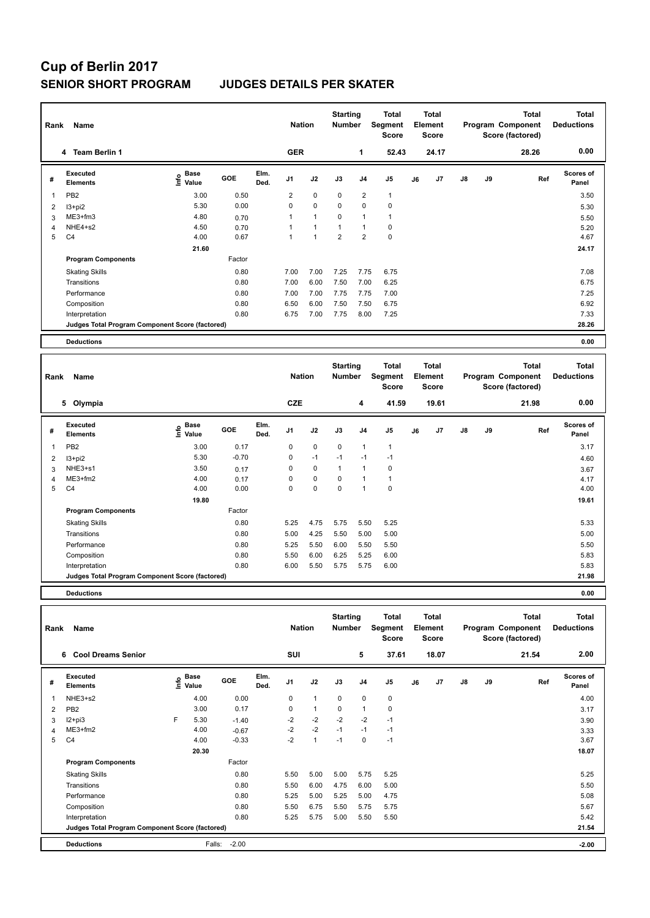# **Cup of Berlin 2017 SENIOR SHORT PROGRAM JUDGES DETAILS PER SKATER**

| Name<br>Rank |                                                 |                              |            |              | <b>Nation</b>  |                | <b>Starting</b><br><b>Number</b> |                | Total<br>Segment<br><b>Score</b> | <b>Total</b><br>Element<br><b>Score</b> |                |               |    | <b>Total</b><br>Program Component<br>Score (factored) | <b>Total</b><br><b>Deductions</b> |
|--------------|-------------------------------------------------|------------------------------|------------|--------------|----------------|----------------|----------------------------------|----------------|----------------------------------|-----------------------------------------|----------------|---------------|----|-------------------------------------------------------|-----------------------------------|
|              | <b>Team Berlin 1</b><br>4                       |                              |            |              | <b>GER</b>     |                |                                  | 1              | 52.43                            |                                         | 24.17          |               |    | 28.26                                                 | 0.00                              |
| #            | Executed<br><b>Elements</b>                     | <b>Base</b><br>lnfo<br>Value | <b>GOE</b> | Elm.<br>Ded. | J <sub>1</sub> | J2             | J3                               | J <sub>4</sub> | J <sub>5</sub>                   | J6                                      | J <sub>7</sub> | $\mathsf{J}8$ | J9 | Ref                                                   | <b>Scores of</b><br>Panel         |
| 1            | PB <sub>2</sub>                                 | 3.00                         | 0.50       |              | $\overline{2}$ | $\mathbf 0$    | $\mathbf 0$                      | 2              | 1                                |                                         |                |               |    |                                                       | 3.50                              |
| 2            | $13 + pi2$                                      | 5.30                         | 0.00       |              | 0              | $\mathbf 0$    | $\Omega$                         | $\mathbf 0$    | $\mathbf 0$                      |                                         |                |               |    |                                                       | 5.30                              |
| 3            | ME3+fm3                                         | 4.80                         | 0.70       |              |                | $\overline{1}$ | 0                                | $\overline{1}$ | 1                                |                                         |                |               |    |                                                       | 5.50                              |
| 4            | NHE4+s2                                         | 4.50                         | 0.70       |              |                | $\overline{1}$ | $\overline{1}$                   | $\overline{1}$ | 0                                |                                         |                |               |    |                                                       | 5.20                              |
| 5            | C <sub>4</sub>                                  | 4.00                         | 0.67       |              | 1              | 1              | $\overline{2}$                   | $\overline{2}$ | $\pmb{0}$                        |                                         |                |               |    |                                                       | 4.67                              |
|              |                                                 | 21.60                        |            |              |                |                |                                  |                |                                  |                                         |                |               |    |                                                       | 24.17                             |
|              | <b>Program Components</b>                       |                              | Factor     |              |                |                |                                  |                |                                  |                                         |                |               |    |                                                       |                                   |
|              | <b>Skating Skills</b>                           |                              | 0.80       |              | 7.00           | 7.00           | 7.25                             | 7.75           | 6.75                             |                                         |                |               |    |                                                       | 7.08                              |
|              | Transitions                                     |                              | 0.80       |              | 7.00           | 6.00           | 7.50                             | 7.00           | 6.25                             |                                         |                |               |    |                                                       | 6.75                              |
|              | Performance                                     |                              | 0.80       |              | 7.00           | 7.00           | 7.75                             | 7.75           | 7.00                             |                                         |                |               |    |                                                       | 7.25                              |
|              | Composition                                     |                              | 0.80       |              | 6.50           | 6.00           | 7.50                             | 7.50           | 6.75                             |                                         |                |               |    |                                                       | 6.92                              |
|              | Interpretation                                  |                              | 0.80       |              | 6.75           | 7.00           | 7.75                             | 8.00           | 7.25                             |                                         |                |               |    |                                                       | 7.33                              |
|              | Judges Total Program Component Score (factored) |                              |            |              |                |                |                                  |                |                                  |                                         |                |               |    |                                                       | 28.26                             |
|              | <b>Deductions</b>                               |                              |            |              |                |                |                                  |                |                                  |                                         |                |               |    |                                                       | 0.00                              |

| Rank | Name                                            |                       |            |              |                | <b>Nation</b> |          | <b>Starting</b><br><b>Number</b> | <b>Total</b><br>Segment<br><b>Score</b> | <b>Total</b><br>Element<br>Score |                |               |    | Total<br>Program Component<br>Score (factored) | <b>Total</b><br><b>Deductions</b> |
|------|-------------------------------------------------|-----------------------|------------|--------------|----------------|---------------|----------|----------------------------------|-----------------------------------------|----------------------------------|----------------|---------------|----|------------------------------------------------|-----------------------------------|
|      | 5 Olympia                                       |                       |            |              | <b>CZE</b>     |               |          | 4                                | 41.59                                   |                                  | 19.61          |               |    | 21.98                                          | 0.00                              |
| #    | <b>Executed</b><br><b>Elements</b>              | Base<br>lnfo<br>Value | <b>GOE</b> | Elm.<br>Ded. | J <sub>1</sub> | J2            | J3       | J <sub>4</sub>                   | J <sub>5</sub>                          | J6                               | J <sub>7</sub> | $\mathsf{J}8$ | J9 | Ref                                            | Scores of<br>Panel                |
| 1    | PB <sub>2</sub>                                 | 3.00                  | 0.17       |              | 0              | $\mathbf 0$   | $\Omega$ | 1                                | 1                                       |                                  |                |               |    |                                                | 3.17                              |
| 2    | $13 + pi2$                                      | 5.30                  | $-0.70$    |              | 0              | $-1$          | $-1$     | $-1$                             | $-1$                                    |                                  |                |               |    |                                                | 4.60                              |
| 3    | NHE3+s1                                         | 3.50                  | 0.17       |              | 0              | 0             | 1        | 1                                | 0                                       |                                  |                |               |    |                                                | 3.67                              |
| 4    | $ME3+fm2$                                       | 4.00                  | 0.17       |              | 0              | $\mathbf 0$   | 0        | 1                                | 1                                       |                                  |                |               |    |                                                | 4.17                              |
| 5    | C <sub>4</sub>                                  | 4.00                  | 0.00       |              | 0              | 0             | 0        | 1                                | $\mathbf 0$                             |                                  |                |               |    |                                                | 4.00                              |
|      |                                                 | 19.80                 |            |              |                |               |          |                                  |                                         |                                  |                |               |    |                                                | 19.61                             |
|      | <b>Program Components</b>                       |                       | Factor     |              |                |               |          |                                  |                                         |                                  |                |               |    |                                                |                                   |
|      | <b>Skating Skills</b>                           |                       | 0.80       |              | 5.25           | 4.75          | 5.75     | 5.50                             | 5.25                                    |                                  |                |               |    |                                                | 5.33                              |
|      | Transitions                                     |                       | 0.80       |              | 5.00           | 4.25          | 5.50     | 5.00                             | 5.00                                    |                                  |                |               |    |                                                | 5.00                              |
|      | Performance                                     |                       | 0.80       |              | 5.25           | 5.50          | 6.00     | 5.50                             | 5.50                                    |                                  |                |               |    |                                                | 5.50                              |
|      | Composition                                     |                       | 0.80       |              | 5.50           | 6.00          | 6.25     | 5.25                             | 6.00                                    |                                  |                |               |    |                                                | 5.83                              |
|      | Interpretation                                  |                       | 0.80       |              | 6.00           | 5.50          | 5.75     | 5.75                             | 6.00                                    |                                  |                |               |    |                                                | 5.83                              |
|      | Judges Total Program Component Score (factored) |                       |            |              |                |               |          |                                  |                                         |                                  |                |               |    |                                                | 21.98                             |
|      |                                                 |                       |            |              |                |               |          |                                  |                                         |                                  |                |               |    |                                                |                                   |

**Deductions 0.00**

| Rank | Name                                            |   |                             |         |              | <b>Nation</b>  |                | <b>Starting</b><br><b>Number</b> |                | Total<br>Segment<br><b>Score</b> |    | <b>Total</b><br>Element<br><b>Score</b> |               |    | <b>Total</b><br>Program Component<br>Score (factored) | <b>Total</b><br><b>Deductions</b> |
|------|-------------------------------------------------|---|-----------------------------|---------|--------------|----------------|----------------|----------------------------------|----------------|----------------------------------|----|-----------------------------------------|---------------|----|-------------------------------------------------------|-----------------------------------|
|      | 6 Cool Dreams Senior                            |   |                             |         |              | SUI            |                |                                  | 5              | 37.61                            |    | 18.07                                   |               |    | 21.54                                                 | 2.00                              |
| #    | Executed<br><b>Elements</b>                     |   | Base<br>$\frac{e}{E}$ Value | GOE     | Elm.<br>Ded. | J <sub>1</sub> | J2             | J3                               | J <sub>4</sub> | J <sub>5</sub>                   | J6 | J7                                      | $\mathsf{J}8$ | J9 | Ref                                                   | <b>Scores of</b><br>Panel         |
|      | NHE3+s2                                         |   | 4.00                        | 0.00    |              | 0              | $\overline{1}$ | 0                                | $\mathbf 0$    | $\pmb{0}$                        |    |                                         |               |    |                                                       | 4.00                              |
| 2    | PB <sub>2</sub>                                 |   | 3.00                        | 0.17    |              | 0              | $\overline{1}$ | 0                                | $\overline{1}$ | $\pmb{0}$                        |    |                                         |               |    |                                                       | 3.17                              |
| 3    | $12+pi3$                                        | F | 5.30                        | $-1.40$ |              | $-2$           | $-2$           | $-2$                             | $-2$           | $-1$                             |    |                                         |               |    |                                                       | 3.90                              |
| 4    | $ME3+fm2$                                       |   | 4.00                        | $-0.67$ |              | $-2$           | $-2$           | $-1$                             | $-1$           | $-1$                             |    |                                         |               |    |                                                       | 3.33                              |
| 5    | C <sub>4</sub>                                  |   | 4.00                        | $-0.33$ |              | $-2$           | $\overline{1}$ | $-1$                             | 0              | $-1$                             |    |                                         |               |    |                                                       | 3.67                              |
|      |                                                 |   | 20.30                       |         |              |                |                |                                  |                |                                  |    |                                         |               |    |                                                       | 18.07                             |
|      | <b>Program Components</b>                       |   |                             | Factor  |              |                |                |                                  |                |                                  |    |                                         |               |    |                                                       |                                   |
|      | <b>Skating Skills</b>                           |   |                             | 0.80    |              | 5.50           | 5.00           | 5.00                             | 5.75           | 5.25                             |    |                                         |               |    |                                                       | 5.25                              |
|      | Transitions                                     |   |                             | 0.80    |              | 5.50           | 6.00           | 4.75                             | 6.00           | 5.00                             |    |                                         |               |    |                                                       | 5.50                              |
|      | Performance                                     |   |                             | 0.80    |              | 5.25           | 5.00           | 5.25                             | 5.00           | 4.75                             |    |                                         |               |    |                                                       | 5.08                              |
|      | Composition                                     |   |                             | 0.80    |              | 5.50           | 6.75           | 5.50                             | 5.75           | 5.75                             |    |                                         |               |    |                                                       | 5.67                              |
|      | Interpretation                                  |   |                             | 0.80    |              | 5.25           | 5.75           | 5.00                             | 5.50           | 5.50                             |    |                                         |               |    |                                                       | 5.42                              |
|      | Judges Total Program Component Score (factored) |   |                             |         |              |                |                |                                  |                |                                  |    |                                         |               |    |                                                       | 21.54                             |
|      | <b>Deductions</b>                               |   | Falls:                      | $-2.00$ |              |                |                |                                  |                |                                  |    |                                         |               |    |                                                       | $-2.00$                           |